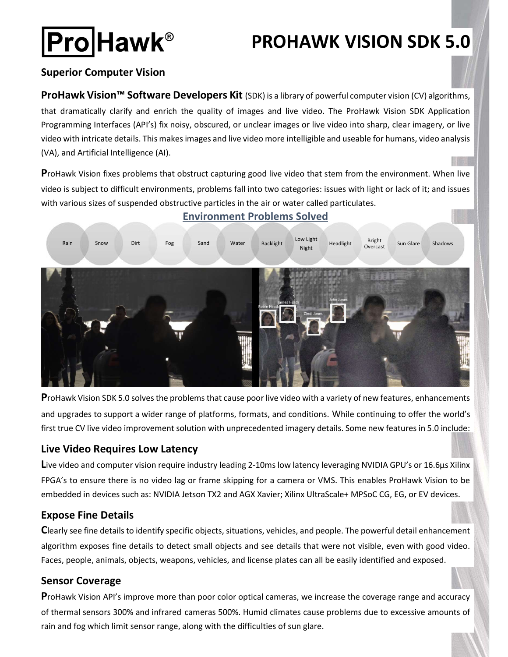# **Pro**Hawk<sup>®</sup>

# PROHAWK VISION SDK 5.0

# Superior Computer Vision

ProHawk Vision<sup>™</sup> Software Developers Kit (SDK) is a library of powerful computer vision (CV) algorithms, that dramatically clarify and enrich the quality of images and live video. The ProHawk Vision SDK Application Programming Interfaces (API's) fix noisy, obscured, or unclear images or live video into sharp, clear imagery, or live video with intricate details. This makes images and live video more intelligible and useable for humans, video analysis (VA), and Artificial Intelligence (AI).

ProHawk Vision fixes problems that obstruct capturing good live video that stem from the environment. When live video is subject to difficult environments, problems fall into two categories: issues with light or lack of it; and issues with various sizes of suspended obstructive particles in the air or water called particulates.



# Environment Problems Solved

ProHawk Vision SDK 5.0 solves the problems that cause poor live video with a variety of new features, enhancements and upgrades to support a wider range of platforms, formats, and conditions. While continuing to offer the world's first true CV live video improvement solution with unprecedented imagery details. Some new features in 5.0 include:

#### Live Video Requires Low Latency

Live video and computer vision require industry leading 2-10ms low latency leveraging NVIDIA GPU's or 16.6µs Xilinx FPGA's to ensure there is no video lag or frame skipping for a camera or VMS. This enables ProHawk Vision to be embedded in devices such as: NVIDIA Jetson TX2 and AGX Xavier; Xilinx UltraScale+ MPSoC CG, EG, or EV devices.

#### Expose Fine Details

Clearly see fine details to identify specific objects, situations, vehicles, and people. The powerful detail enhancement algorithm exposes fine details to detect small objects and see details that were not visible, even with good video. Faces, people, animals, objects, weapons, vehicles, and license plates can all be easily identified and exposed.

#### Sensor Coverage

ProHawk Vision API's improve more than poor color optical cameras, we increase the coverage range and accuracy of thermal sensors 300% and infrared cameras 500%. Humid climates cause problems due to excessive amounts of rain and fog which limit sensor range, along with the difficulties of sun glare.